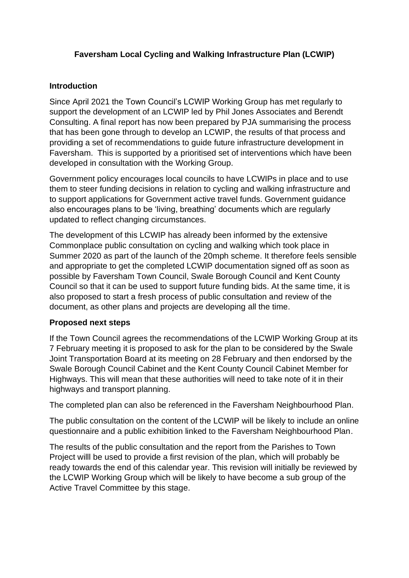## **Faversham Local Cycling and Walking Infrastructure Plan (LCWIP)**

## **Introduction**

Since April 2021 the Town Council's LCWIP Working Group has met regularly to support the development of an LCWIP led by Phil Jones Associates and Berendt Consulting. A final report has now been prepared by PJA summarising the process that has been gone through to develop an LCWIP, the results of that process and providing a set of recommendations to guide future infrastructure development in Faversham. This is supported by a prioritised set of interventions which have been developed in consultation with the Working Group.

Government policy encourages local councils to have LCWIPs in place and to use them to steer funding decisions in relation to cycling and walking infrastructure and to support applications for Government active travel funds. Government guidance also encourages plans to be 'living, breathing' documents which are regularly updated to reflect changing circumstances.

The development of this LCWIP has already been informed by the extensive Commonplace public consultation on cycling and walking which took place in Summer 2020 as part of the launch of the 20mph scheme. It therefore feels sensible and appropriate to get the completed LCWIP documentation signed off as soon as possible by Faversham Town Council, Swale Borough Council and Kent County Council so that it can be used to support future funding bids. At the same time, it is also proposed to start a fresh process of public consultation and review of the document, as other plans and projects are developing all the time.

## **Proposed next steps**

If the Town Council agrees the recommendations of the LCWIP Working Group at its 7 February meeting it is proposed to ask for the plan to be considered by the Swale Joint Transportation Board at its meeting on 28 February and then endorsed by the Swale Borough Council Cabinet and the Kent County Council Cabinet Member for Highways. This will mean that these authorities will need to take note of it in their highways and transport planning.

The completed plan can also be referenced in the Faversham Neighbourhood Plan.

The public consultation on the content of the LCWIP will be likely to include an online questionnaire and a public exhibition linked to the Faversham Neighbourhood Plan.

The results of the public consultation and the report from the Parishes to Town Project willl be used to provide a first revision of the plan, which will probably be ready towards the end of this calendar year. This revision will initially be reviewed by the LCWIP Working Group which will be likely to have become a sub group of the Active Travel Committee by this stage.